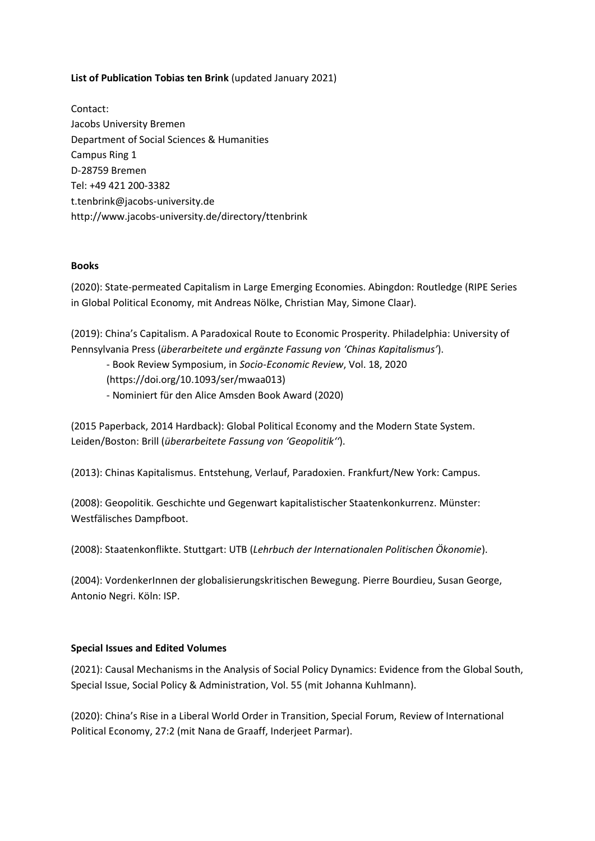## **List of Publication Tobias ten Brink** (updated January 2021)

Contact: Jacobs University Bremen Department of Social Sciences & Humanities Campus Ring 1 D-28759 Bremen Tel: +49 421 200-3382 t.tenbrink@jacobs-university.de <http://www.jacobs-university.de/directory/ttenbrink>

#### **Books**

(2020): State-permeated Capitalism in Large Emerging Economies. Abingdon: Routledge (RIPE Series in Global Political Economy, mit Andreas Nölke, Christian May, Simone Claar).

(2019): China's Capitalism. A Paradoxical Route to Economic Prosperity. Philadelphia: University of Pennsylvania Press (*überarbeitete und ergänzte Fassung von 'Chinas Kapitalismus'*).

- Book Review Symposium, in *Socio-Economic Review*, Vol. 18, 2020 (https://doi.org/10.1093/ser/mwaa013)

- Nominiert für den Alice Amsden Book Award (2020)

(2015 Paperback, 2014 Hardback): Global Political Economy and the Modern State System. Leiden/Boston: Brill (*überarbeitete Fassung von 'Geopolitik''*).

(2013): Chinas Kapitalismus. Entstehung, Verlauf, Paradoxien. Frankfurt/New York: Campus.

(2008): Geopolitik. Geschichte und Gegenwart kapitalistischer Staatenkonkurrenz. Münster: Westfälisches Dampfboot.

(2008): Staatenkonflikte. Stuttgart: UTB (*Lehrbuch der Internationalen Politischen Ökonomie*).

(2004): VordenkerInnen der globalisierungskritischen Bewegung. Pierre Bourdieu, Susan George, Antonio Negri. Köln: ISP.

#### **Special Issues and Edited Volumes**

(2021): Causal Mechanisms in the Analysis of Social Policy Dynamics: Evidence from the Global South, Special Issue, Social Policy & Administration, Vol. 55 (mit Johanna Kuhlmann).

(2020): China's Rise in a Liberal World Order in Transition, Special Forum, Review of International Political Economy, 27:2 (mit Nana de Graaff, Inderjeet Parmar).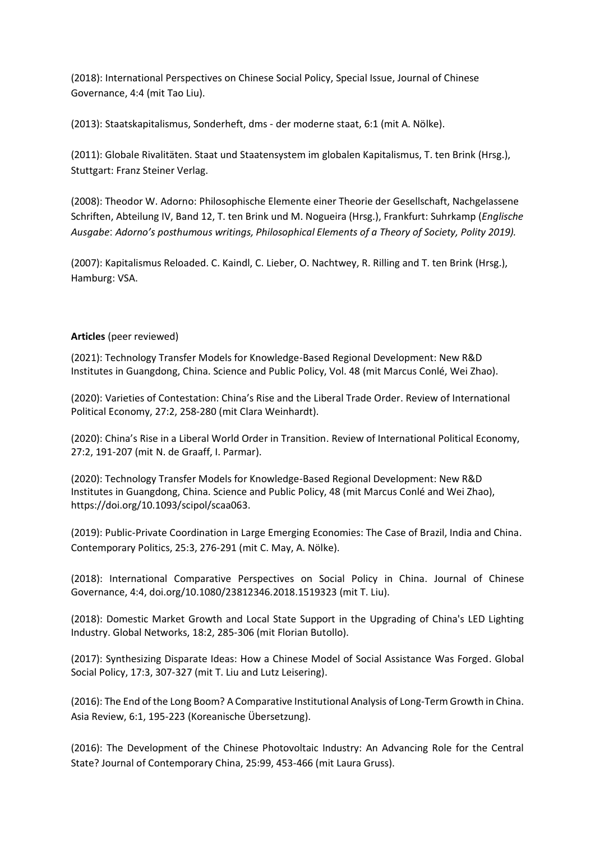(2018): International Perspectives on Chinese Social Policy, Special Issue, Journal of Chinese Governance, 4:4 (mit Tao Liu).

(2013): Staatskapitalismus, Sonderheft, dms - der moderne staat, 6:1 (mit A. Nölke).

(2011): Globale Rivalitäten. Staat und Staatensystem im globalen Kapitalismus, T. ten Brink (Hrsg.), Stuttgart: Franz Steiner Verlag.

(2008): Theodor W. Adorno: Philosophische Elemente einer Theorie der Gesellschaft, Nachgelassene Schriften, Abteilung IV, Band 12, T. ten Brink und M. Nogueira (Hrsg.), Frankfurt: Suhrkamp (*Englische Ausgabe*: *Adorno's posthumous writings, Philosophical Elements of a Theory of Society, Polity 2019).*

(2007): Kapitalismus Reloaded. C. Kaindl, C. Lieber, O. Nachtwey, R. Rilling and T. ten Brink (Hrsg.), Hamburg: VSA.

## **Articles** (peer reviewed)

(2021): Technology Transfer Models for Knowledge-Based Regional Development: New R&D Institutes in Guangdong, China. Science and Public Policy, Vol. 48 (mit Marcus Conlé, Wei Zhao).

(2020): Varieties of Contestation: China's Rise and the Liberal Trade Order. Review of International Political Economy, 27:2, 258-280 (mit Clara Weinhardt).

(2020): China's Rise in a Liberal World Order in Transition. Review of International Political Economy, 27:2, 191-207 (mit N. de Graaff, I. Parmar).

(2020): Technology Transfer Models for Knowledge-Based Regional Development: New R&D Institutes in Guangdong, China. Science and Public Policy, 48 (mit Marcus Conlé and Wei Zhao), [https://doi.org/10.1093/scipol/scaa063.](https://doi.org/10.1093/scipol/scaa063)

(2019): Public-Private Coordination in Large Emerging Economies: The Case of Brazil, India and China. Contemporary Politics, 25:3, 276-291 (mit C. May, A. Nölke).

(2018): International Comparative Perspectives on Social Policy in China. Journal of Chinese Governance, 4:4, [doi.org/10.1080/23812346.2018.1519323](http://doi.org/10.1080/23812346.2018.1519323) (mit T. Liu).

(2018): Domestic Market Growth and Local State Support in the Upgrading of China's LED Lighting Industry. Global Networks, 18:2, 285-306 (mit Florian Butollo).

(2017): Synthesizing Disparate Ideas: How a Chinese Model of Social Assistance Was Forged. Global Social Policy, 17:3, 307-327 (mit T. Liu and Lutz Leisering).

(2016): The End of the Long Boom? A Comparative Institutional Analysis of Long-Term Growth in China. Asia Review, 6:1, 195-223 (Koreanische Übersetzung).

(2016): The Development of the Chinese Photovoltaic Industry: An Advancing Role for the Central State? Journal of Contemporary China, 25:99, 453-466 (mit Laura Gruss).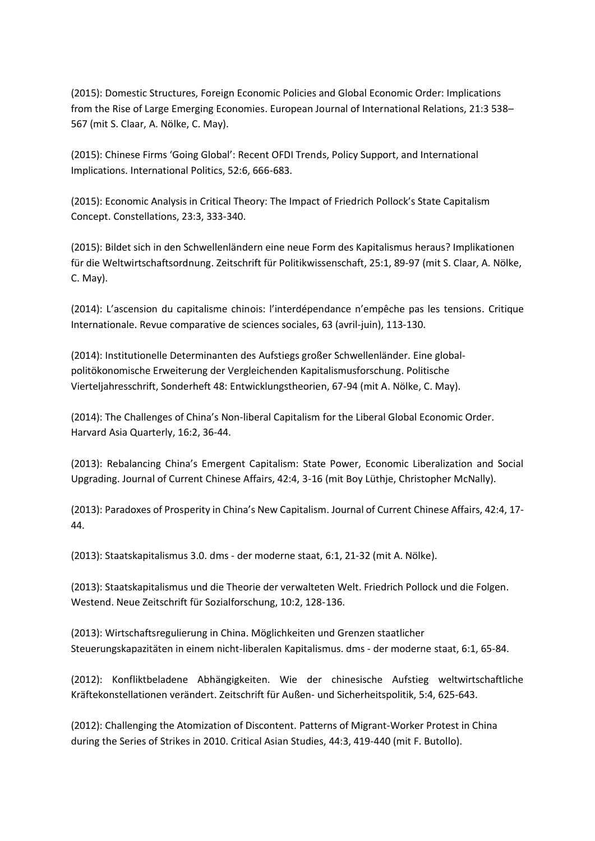(2015): Domestic Structures, Foreign Economic Policies and Global Economic Order: Implications from the Rise of Large Emerging Economies. European Journal of International Relations, 21:3 538– 567 (mit S. Claar, A. Nölke, C. May).

(2015): Chinese Firms 'Going Global': Recent OFDI Trends, Policy Support, and International Implications. International Politics, 52:6, 666-683.

(2015): Economic Analysis in Critical Theory: The Impact of Friedrich Pollock's State Capitalism Concept. Constellations, 23:3, 333-340.

(2015): Bildet sich in den Schwellenländern eine neue Form des Kapitalismus heraus? Implikationen für die Weltwirtschaftsordnung. Zeitschrift für Politikwissenschaft, 25:1, 89-97 (mit S. Claar, A. Nölke, C. May).

(2014): L'ascension du capitalisme chinois: l'interdépendance n'empêche pas les tensions. Critique Internationale. Revue comparative de sciences sociales, 63 (avril-juin), 113-130.

(2014): Institutionelle Determinanten des Aufstiegs großer Schwellenländer. Eine globalpolitökonomische Erweiterung der Vergleichenden Kapitalismusforschung. Politische Vierteljahresschrift, Sonderheft 48: Entwicklungstheorien, 67-94 (mit A. Nölke, C. May).

(2014): The Challenges of China's Non-liberal Capitalism for the Liberal Global Economic Order. Harvard Asia Quarterly, 16:2, 36-44.

(2013): Rebalancing China's Emergent Capitalism: State Power, Economic Liberalization and Social Upgrading. Journal of Current Chinese Affairs, 42:4, 3-16 (mit Boy Lüthje, Christopher McNally).

(2013): Paradoxes of Prosperity in China's New Capitalism. Journal of Current Chinese Affairs, 42:4, 17- 44.

(2013): Staatskapitalismus 3.0. dms - der moderne staat, 6:1, 21-32 (mit A. Nölke).

(2013): Staatskapitalismus und die Theorie der verwalteten Welt. Friedrich Pollock und die Folgen. Westend. Neue Zeitschrift für Sozialforschung, 10:2, 128-136.

(2013): Wirtschaftsregulierung in China. Möglichkeiten und Grenzen staatlicher Steuerungskapazitäten in einem nicht-liberalen Kapitalismus. dms - der moderne staat, 6:1, 65-84.

(2012): Konfliktbeladene Abhängigkeiten. Wie der chinesische Aufstieg weltwirtschaftliche Kräftekonstellationen verändert. Zeitschrift für Außen- und Sicherheitspolitik, 5:4, 625-643.

(2012): Challenging the Atomization of Discontent. Patterns of Migrant-Worker Protest in China during the Series of Strikes in 2010. Critical Asian Studies, 44:3, 419-440 (mit F. Butollo).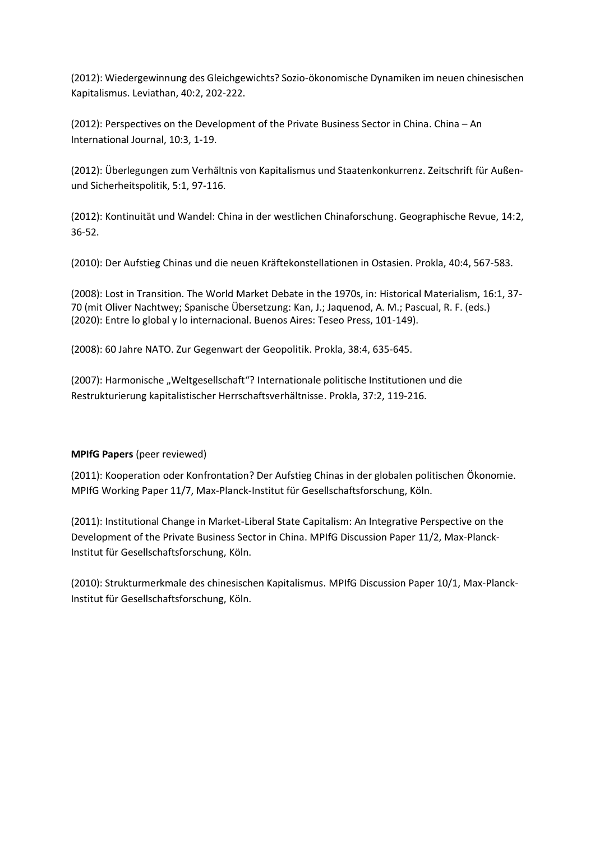(2012): Wiedergewinnung des Gleichgewichts? Sozio-ökonomische Dynamiken im neuen chinesischen Kapitalismus. Leviathan, 40:2, 202-222.

(2012): Perspectives on the Development of the Private Business Sector in China. China – An International Journal, 10:3, 1-19.

(2012): Überlegungen zum Verhältnis von Kapitalismus und Staatenkonkurrenz. Zeitschrift für Außenund Sicherheitspolitik, 5:1, 97-116.

(2012): Kontinuität und Wandel: China in der westlichen Chinaforschung. Geographische Revue, 14:2, 36-52.

(2010): Der Aufstieg Chinas und die neuen Kräftekonstellationen in Ostasien. Prokla, 40:4, 567-583.

(2008): Lost in Transition. The World Market Debate in the 1970s, in: Historical Materialism, 16:1, 37- 70 (mit Oliver Nachtwey; Spanische Übersetzung: Kan, J.; Jaquenod, A. M.; Pascual, R. F. (eds.) (2020): Entre lo global y lo internacional. Buenos Aires: Teseo Press, 101-149).

(2008): 60 Jahre NATO. Zur Gegenwart der Geopolitik. Prokla, 38:4, 635-645.

(2007): Harmonische "Weltgesellschaft"? Internationale politische Institutionen und die Restrukturierung kapitalistischer Herrschaftsverhältnisse. Prokla, 37:2, 119-216.

## **MPIfG Papers** (peer reviewed)

(2011): Kooperation oder Konfrontation? Der Aufstieg Chinas in der globalen politischen Ökonomie. MPIfG Working Paper 11/7, Max-Planck-Institut für Gesellschaftsforschung, Köln.

(2011): Institutional Change in Market-Liberal State Capitalism: An Integrative Perspective on the Development of the Private Business Sector in China. MPIfG Discussion Paper 11/2, Max-Planck-Institut für Gesellschaftsforschung, Köln.

(2010): Strukturmerkmale des chinesischen Kapitalismus. MPIfG Discussion Paper 10/1, Max-Planck-Institut für Gesellschaftsforschung, Köln.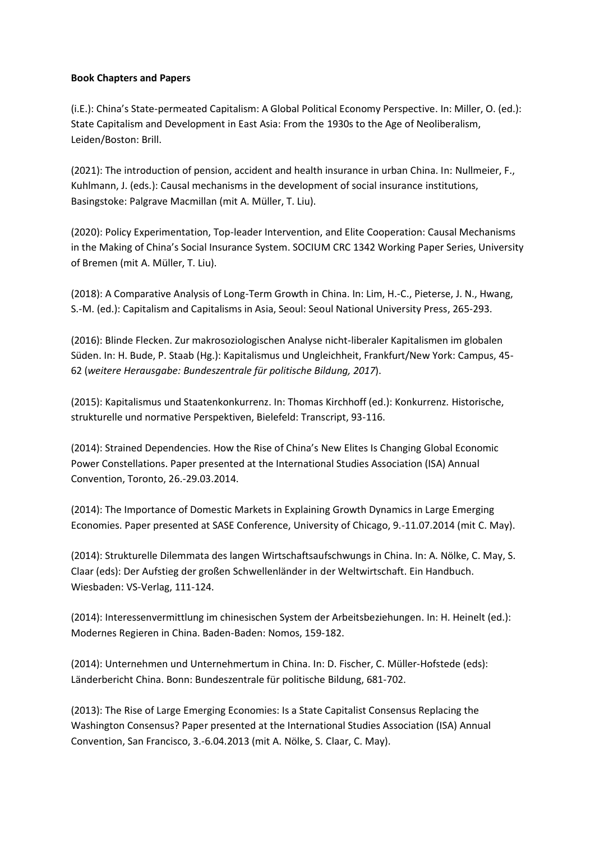#### **Book Chapters and Papers**

(i.E.): China's State-permeated Capitalism: A Global Political Economy Perspective. In: Miller, O. (ed.): State Capitalism and Development in East Asia: From the 1930s to the Age of Neoliberalism, Leiden/Boston: Brill.

(2021): The introduction of pension, accident and health insurance in urban China. In: Nullmeier, F., Kuhlmann, J. (eds.): Causal mechanisms in the development of social insurance institutions, Basingstoke: Palgrave Macmillan (mit A. Müller, T. Liu).

(2020): Policy Experimentation, Top-leader Intervention, and Elite Cooperation: Causal Mechanisms in the Making of China's Social Insurance System. SOCIUM CRC 1342 Working Paper Series, University of Bremen (mit A. Müller, T. Liu).

(2018): A Comparative Analysis of Long-Term Growth in China. In: Lim, H.-C., Pieterse, J. N., Hwang, S.-M. (ed.): Capitalism and Capitalisms in Asia, Seoul: Seoul National University Press, 265-293.

(2016): Blinde Flecken. Zur makrosoziologischen Analyse nicht-liberaler Kapitalismen im globalen Süden. In: H. Bude, P. Staab (Hg.): Kapitalismus und Ungleichheit, Frankfurt/New York: Campus, 45- 62 (*weitere Herausgabe: Bundeszentrale für politische Bildung, 2017*).

(2015): Kapitalismus und Staatenkonkurrenz. In: Thomas Kirchhoff (ed.): Konkurrenz. Historische, strukturelle und normative Perspektiven, Bielefeld: Transcript, 93-116.

(2014): Strained Dependencies. How the Rise of China's New Elites Is Changing Global Economic Power Constellations. Paper presented at the International Studies Association (ISA) Annual Convention, Toronto, 26.-29.03.2014.

(2014): The Importance of Domestic Markets in Explaining Growth Dynamics in Large Emerging Economies. Paper presented at SASE Conference, University of Chicago, 9.-11.07.2014 (mit C. May).

(2014): Strukturelle Dilemmata des langen Wirtschaftsaufschwungs in China. In: A. Nölke, C. May, S. Claar (eds): Der Aufstieg der großen Schwellenländer in der Weltwirtschaft. Ein Handbuch. Wiesbaden: VS-Verlag, 111-124.

(2014): Interessenvermittlung im chinesischen System der Arbeitsbeziehungen. In: H. Heinelt (ed.): Modernes Regieren in China. Baden-Baden: Nomos, 159-182.

(2014): Unternehmen und Unternehmertum in China. In: D. Fischer, C. Müller-Hofstede (eds): Länderbericht China. Bonn: Bundeszentrale für politische Bildung, 681-702.

(2013): The Rise of Large Emerging Economies: Is a State Capitalist Consensus Replacing the Washington Consensus? Paper presented at the International Studies Association (ISA) Annual Convention, San Francisco, 3.-6.04.2013 (mit A. Nölke, S. Claar, C. May).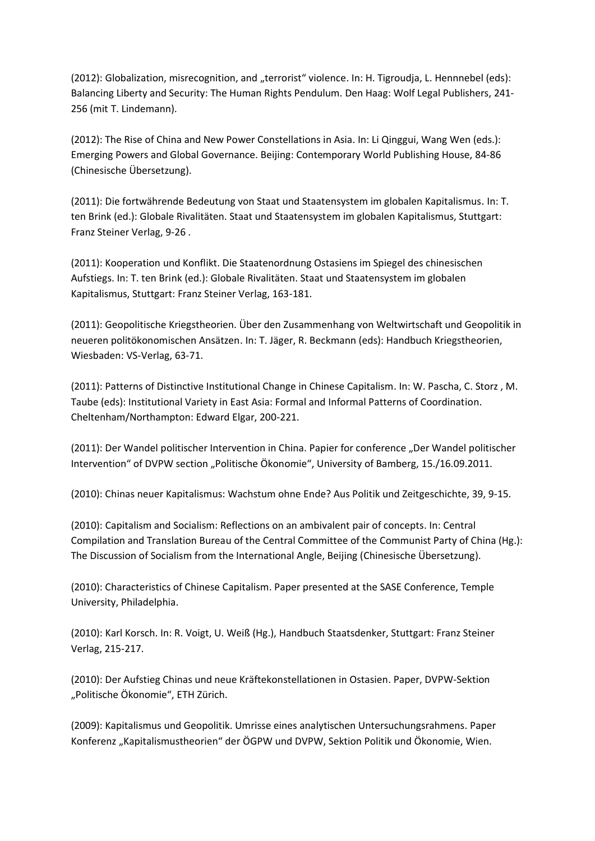(2012): Globalization, misrecognition, and "terrorist" violence. In: H. Tigroudja, L. Hennnebel (eds): Balancing Liberty and Security: The Human Rights Pendulum. Den Haag: Wolf Legal Publishers, 241- 256 (mit T. Lindemann).

(2012): The Rise of China and New Power Constellations in Asia. In: Li Qinggui, Wang Wen (eds.): Emerging Powers and Global Governance. Beijing: Contemporary World Publishing House, 84-86 (Chinesische Übersetzung).

(2011): Die fortwährende Bedeutung von Staat und Staatensystem im globalen Kapitalismus. In: T. ten Brink (ed.): Globale Rivalitäten. Staat und Staatensystem im globalen Kapitalismus, Stuttgart: Franz Steiner Verlag, 9-26 .

(2011): Kooperation und Konflikt. Die Staatenordnung Ostasiens im Spiegel des chinesischen Aufstiegs. In: T. ten Brink (ed.): Globale Rivalitäten. Staat und Staatensystem im globalen Kapitalismus, Stuttgart: Franz Steiner Verlag, 163-181.

(2011): Geopolitische Kriegstheorien. Über den Zusammenhang von Weltwirtschaft und Geopolitik in neueren politökonomischen Ansätzen. In: T. Jäger, R. Beckmann (eds): Handbuch Kriegstheorien, Wiesbaden: VS-Verlag, 63-71.

(2011): Patterns of Distinctive Institutional Change in Chinese Capitalism. In: W. Pascha, C. Storz , M. Taube (eds): Institutional Variety in East Asia: Formal and Informal Patterns of Coordination. Cheltenham/Northampton: Edward Elgar, 200-221.

(2011): Der Wandel politischer Intervention in China. Papier for conference "Der Wandel politischer Intervention" of DVPW section "Politische Ökonomie", University of Bamberg, 15./16.09.2011.

(2010): Chinas neuer Kapitalismus: Wachstum ohne Ende? Aus Politik und Zeitgeschichte, 39, 9-15.

(2010): Capitalism and Socialism: Reflections on an ambivalent pair of concepts. In: Central Compilation and Translation Bureau of the Central Committee of the Communist Party of China (Hg.): The Discussion of Socialism from the International Angle, Beijing (Chinesische Übersetzung).

(2010): Characteristics of Chinese Capitalism. Paper presented at the SASE Conference, Temple University, Philadelphia.

(2010): Karl Korsch. In: R. Voigt, U. Weiß (Hg.), Handbuch Staatsdenker, Stuttgart: Franz Steiner Verlag, 215-217.

(2010): Der Aufstieg Chinas und neue Kräftekonstellationen in Ostasien. Paper, DVPW-Sektion "Politische Ökonomie", ETH Zürich.

(2009): Kapitalismus und Geopolitik. Umrisse eines analytischen Untersuchungsrahmens. Paper Konferenz "Kapitalismustheorien" der ÖGPW und DVPW, Sektion Politik und Ökonomie, Wien.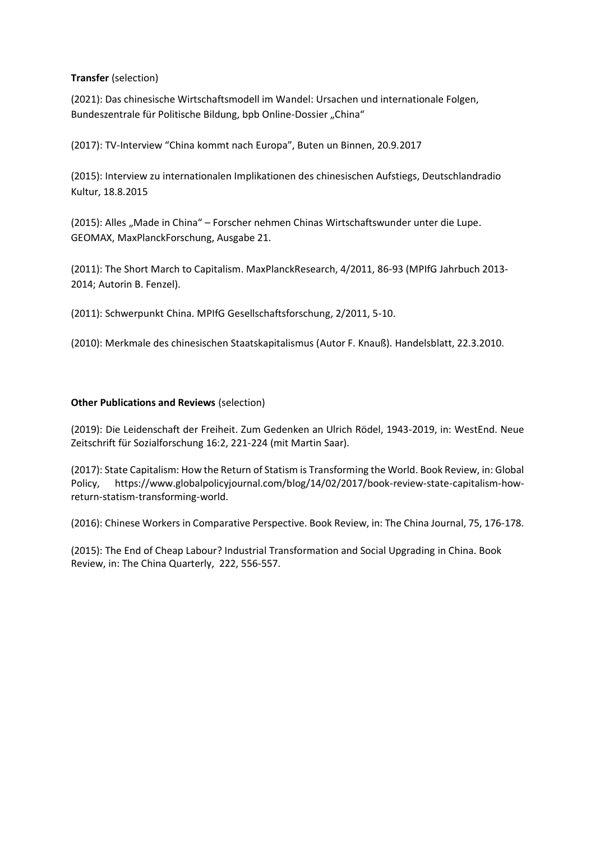## **Transfer** (selection)

(2021): Das chinesische Wirtschaftsmodell im Wandel: Ursachen und internationale Folgen, Bundeszentrale für Politische Bildung, bpb Online-Dossier "China"

(2017): TV-Interview "China kommt nach Europa", Buten un Binnen, 20.9.2017

(2015): Interview zu internationalen Implikationen des chinesischen Aufstiegs, Deutschlandradio Kultur, 18.8.2015

(2015): Alles "Made in China" – Forscher nehmen Chinas Wirtschaftswunder unter die Lupe. GEOMAX, MaxPlanckForschung, Ausgabe 21.

(2011): The Short March to Capitalism. MaxPlanckResearch, 4/2011, 86-93 (MPIfG Jahrbuch 2013- 2014; Autorin B. Fenzel).

(2011): Schwerpunkt China. MPIfG Gesellschaftsforschung, 2/2011, 5-10.

(2010): Merkmale des chinesischen Staatskapitalismus (Autor F. Knauß). Handelsblatt, 22.3.2010.

## **Other Publications and Reviews** (selection)

(2019): Die Leidenschaft der Freiheit. Zum Gedenken an Ulrich Rödel, 1943-2019, in: WestEnd. Neue Zeitschrift für Sozialforschung 16:2, 221-224 (mit Martin Saar).

(2017): State Capitalism: How the Return of Statism is Transforming the World. Book Review, in: Global Policy, [https://www.globalpolicyjournal.com/blog/14/02/2017/book-review-state-capitalism-how](https://www.globalpolicyjournal.com/blog/14/02/2017/book-review-state-capitalism-how-return-statism-transforming-world)[return-statism-transforming-world.](https://www.globalpolicyjournal.com/blog/14/02/2017/book-review-state-capitalism-how-return-statism-transforming-world)

(2016): Chinese Workers in Comparative Perspective. Book Review, in: The China Journal, 75, 176-178.

(2015): The End of Cheap Labour? Industrial Transformation and Social Upgrading in China. Book Review, in: The China Quarterly, 222, 556-557.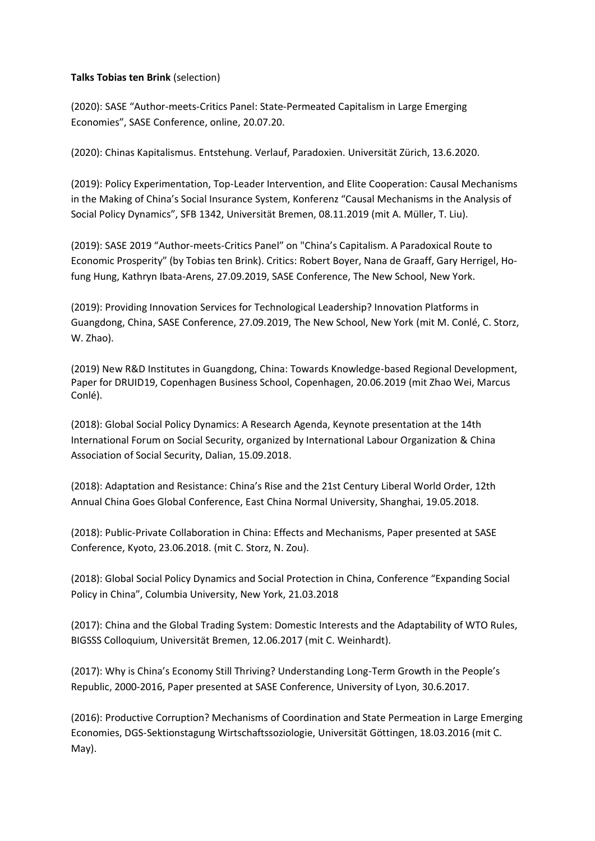### **Talks Tobias ten Brink** (selection)

(2020): SASE "Author-meets-Critics Panel: State-Permeated Capitalism in Large Emerging Economies", SASE Conference, online, 20.07.20.

(2020): Chinas Kapitalismus. Entstehung. Verlauf, Paradoxien. Universität Zürich, 13.6.2020.

(2019): Policy Experimentation, Top-Leader Intervention, and Elite Cooperation: Causal Mechanisms in the Making of China's Social Insurance System, Konferenz "Causal Mechanisms in the Analysis of Social Policy Dynamics", SFB 1342, Universität Bremen, 08.11.2019 (mit A. Müller, T. Liu).

(2019): SASE 2019 "Author-meets-Critics Panel" on "China's Capitalism. A Paradoxical Route to Economic Prosperity" (by Tobias ten Brink). Critics: Robert Boyer, Nana de Graaff, Gary Herrigel, Hofung Hung, Kathryn Ibata-Arens, 27.09.2019, SASE Conference, The New School, New York.

(2019): Providing Innovation Services for Technological Leadership? Innovation Platforms in Guangdong, China, SASE Conference, 27.09.2019, The New School, New York (mit M. Conlé, C. Storz, W. Zhao).

(2019) New R&D Institutes in Guangdong, China: Towards Knowledge-based Regional Development, Paper for DRUID19, Copenhagen Business School, Copenhagen, 20.06.2019 (mit Zhao Wei, Marcus Conlé).

(2018): Global Social Policy Dynamics: A Research Agenda, Keynote presentation at the 14th International Forum on Social Security, organized by International Labour Organization & China Association of Social Security, Dalian, 15.09.2018.

(2018): Adaptation and Resistance: China's Rise and the 21st Century Liberal World Order, 12th Annual China Goes Global Conference, East China Normal University, Shanghai, 19.05.2018.

(2018): Public-Private Collaboration in China: Effects and Mechanisms, Paper presented at SASE Conference, Kyoto, 23.06.2018. (mit C. Storz, N. Zou).

(2018): Global Social Policy Dynamics and Social Protection in China, Conference "Expanding Social Policy in China", Columbia University, New York, 21.03.2018

(2017): China and the Global Trading System: Domestic Interests and the Adaptability of WTO Rules, BIGSSS Colloquium, Universität Bremen, 12.06.2017 (mit C. Weinhardt).

(2017): Why is China's Economy Still Thriving? Understanding Long-Term Growth in the People's Republic, 2000-2016, Paper presented at SASE Conference, University of Lyon, 30.6.2017.

(2016): Productive Corruption? Mechanisms of Coordination and State Permeation in Large Emerging Economies, DGS-Sektionstagung Wirtschaftssoziologie, Universität Göttingen, 18.03.2016 (mit C. May).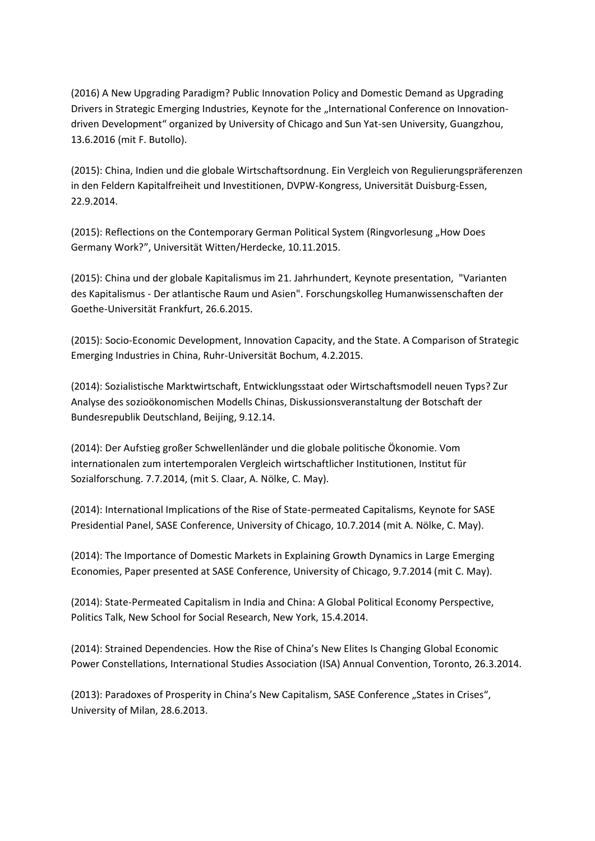(2016) A New Upgrading Paradigm? Public Innovation Policy and Domestic Demand as Upgrading Drivers in Strategic Emerging Industries, Keynote for the "International Conference on Innovationdriven Development" organized by University of Chicago and Sun Yat-sen University, Guangzhou, 13.6.2016 (mit F. Butollo).

(2015): China, Indien und die globale Wirtschaftsordnung. Ein Vergleich von Regulierungspräferenzen in den Feldern Kapitalfreiheit und Investitionen, DVPW-Kongress, Universität Duisburg-Essen, 22.9.2014.

(2015): Reflections on the Contemporary German Political System (Ringvorlesung "How Does Germany Work?", Universität Witten/Herdecke, 10.11.2015.

(2015): China und der globale Kapitalismus im 21. Jahrhundert, Keynote presentation, "Varianten des Kapitalismus - Der atlantische Raum und Asien". Forschungskolleg Humanwissenschaften der Goethe-Universität Frankfurt, 26.6.2015.

(2015): Socio-Economic Development, Innovation Capacity, and the State. A Comparison of Strategic Emerging Industries in China, Ruhr-Universität Bochum, 4.2.2015.

(2014): Sozialistische Marktwirtschaft, Entwicklungsstaat oder Wirtschaftsmodell neuen Typs? Zur Analyse des sozioökonomischen Modells Chinas, Diskussionsveranstaltung der Botschaft der Bundesrepublik Deutschland, Beijing, 9.12.14.

(2014): Der Aufstieg großer Schwellenländer und die globale politische Ökonomie. Vom internationalen zum intertemporalen Vergleich wirtschaftlicher Institutionen, Institut für Sozialforschung. 7.7.2014, (mit S. Claar, A. Nölke, C. May).

(2014): International Implications of the Rise of State-permeated Capitalisms, Keynote for SASE Presidential Panel, SASE Conference, University of Chicago, 10.7.2014 (mit A. Nölke, C. May).

(2014): The Importance of Domestic Markets in Explaining Growth Dynamics in Large Emerging Economies, Paper presented at SASE Conference, University of Chicago, 9.7.2014 (mit C. May).

(2014): State-Permeated Capitalism in India and China: A Global Political Economy Perspective, Politics Talk, New School for Social Research, New York, 15.4.2014.

(2014): Strained Dependencies. How the Rise of China's New Elites Is Changing Global Economic Power Constellations, International Studies Association (ISA) Annual Convention, Toronto, 26.3.2014.

(2013): Paradoxes of Prosperity in China's New Capitalism, SASE Conference "States in Crises", University of Milan, 28.6.2013.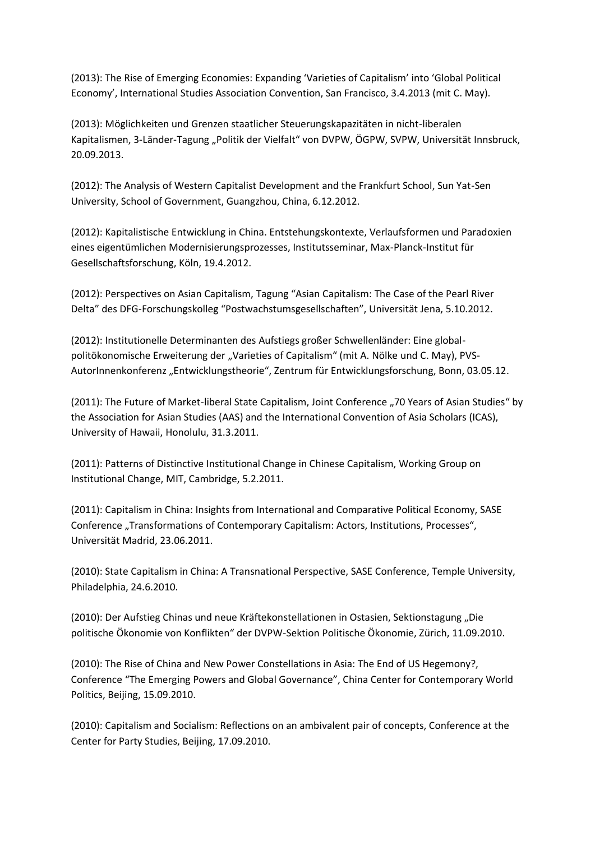(2013): The Rise of Emerging Economies: Expanding 'Varieties of Capitalism' into 'Global Political Economy', International Studies Association Convention, San Francisco, 3.4.2013 (mit C. May).

(2013): Möglichkeiten und Grenzen staatlicher Steuerungskapazitäten in nicht-liberalen Kapitalismen, 3-Länder-Tagung "Politik der Vielfalt" von DVPW, ÖGPW, SVPW, Universität Innsbruck, 20.09.2013.

(2012): The Analysis of Western Capitalist Development and the Frankfurt School, Sun Yat-Sen University, School of Government, Guangzhou, China, 6.12.2012.

(2012): Kapitalistische Entwicklung in China. Entstehungskontexte, Verlaufsformen und Paradoxien eines eigentümlichen Modernisierungsprozesses, Institutsseminar, Max-Planck-Institut für Gesellschaftsforschung, Köln, 19.4.2012.

(2012): Perspectives on Asian Capitalism, Tagung "Asian Capitalism: The Case of the Pearl River Delta" des DFG-Forschungskolleg "Postwachstumsgesellschaften", Universität Jena, 5.10.2012.

(2012): Institutionelle Determinanten des Aufstiegs großer Schwellenländer: Eine globalpolitökonomische Erweiterung der "Varieties of Capitalism" (mit A. Nölke und C. May), PVS-AutorInnenkonferenz "Entwicklungstheorie", Zentrum für Entwicklungsforschung, Bonn, 03.05.12.

(2011): The Future of Market-liberal State Capitalism, Joint Conference "70 Years of Asian Studies" by the Association for Asian Studies (AAS) and the International Convention of Asia Scholars (ICAS), University of Hawaii, Honolulu, 31.3.2011.

(2011): Patterns of Distinctive Institutional Change in Chinese Capitalism, Working Group on Institutional Change, MIT, Cambridge, 5.2.2011.

(2011): Capitalism in China: Insights from International and Comparative Political Economy, SASE Conference "Transformations of Contemporary Capitalism: Actors, Institutions, Processes", Universität Madrid, 23.06.2011.

(2010): State Capitalism in China: A Transnational Perspective, SASE Conference, Temple University, Philadelphia, 24.6.2010.

(2010): Der Aufstieg Chinas und neue Kräftekonstellationen in Ostasien, Sektionstagung "Die politische Ökonomie von Konflikten" der DVPW-Sektion Politische Ökonomie, Zürich, 11.09.2010.

(2010): The Rise of China and New Power Constellations in Asia: The End of US Hegemony?, Conference "The Emerging Powers and Global Governance", China Center for Contemporary World Politics, Beijing, 15.09.2010.

(2010): Capitalism and Socialism: Reflections on an ambivalent pair of concepts, Conference at the Center for Party Studies, Beijing, 17.09.2010.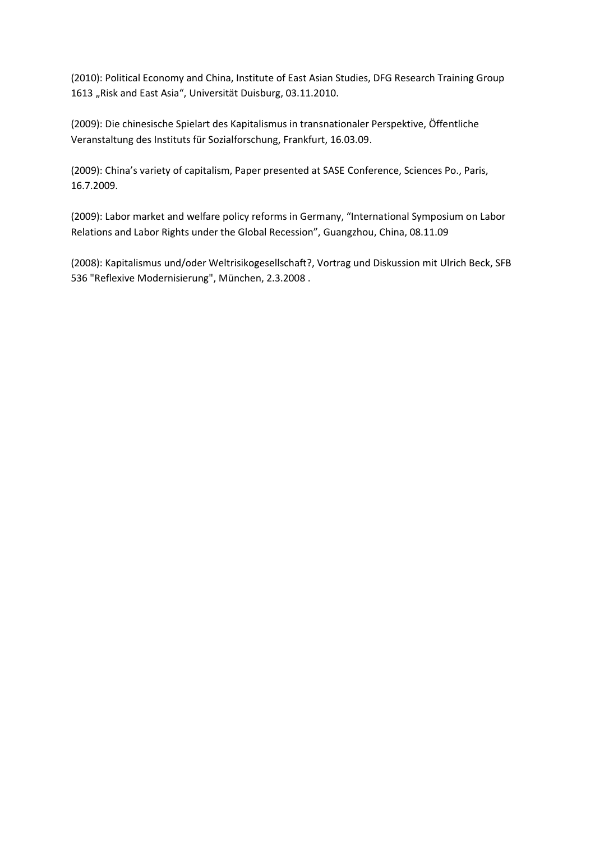(2010): Political Economy and China, Institute of East Asian Studies, DFG Research Training Group 1613 "Risk and East Asia", Universität Duisburg, 03.11.2010.

(2009): Die chinesische Spielart des Kapitalismus in transnationaler Perspektive, Öffentliche Veranstaltung des Instituts für Sozialforschung, Frankfurt, 16.03.09.

(2009): China's variety of capitalism, Paper presented at SASE Conference, Sciences Po., Paris, 16.7.2009.

(2009): Labor market and welfare policy reforms in Germany, "International Symposium on Labor Relations and Labor Rights under the Global Recession", Guangzhou, China, 08.11.09

(2008): Kapitalismus und/oder Weltrisikogesellschaft?, Vortrag und Diskussion mit Ulrich Beck, SFB 536 "Reflexive Modernisierung", München, 2.3.2008 .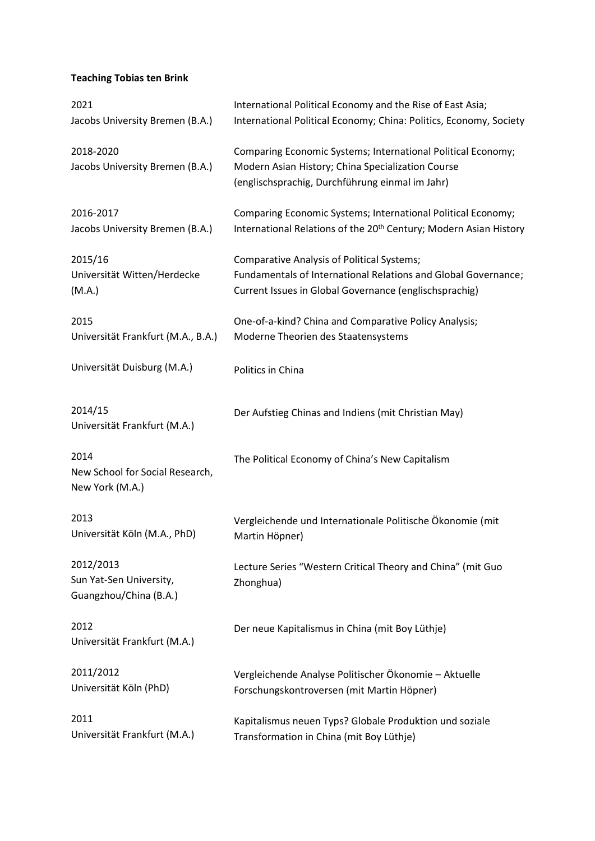# **Teaching Tobias ten Brink**

| International Political Economy and the Rise of East Asia;<br>International Political Economy; China: Politics, Economy, Society                                              |
|-------------------------------------------------------------------------------------------------------------------------------------------------------------------------------|
| Comparing Economic Systems; International Political Economy;<br>Modern Asian History; China Specialization Course<br>(englischsprachig, Durchführung einmal im Jahr)          |
| Comparing Economic Systems; International Political Economy;<br>International Relations of the 20 <sup>th</sup> Century; Modern Asian History                                 |
| <b>Comparative Analysis of Political Systems;</b><br>Fundamentals of International Relations and Global Governance;<br>Current Issues in Global Governance (englischsprachig) |
| One-of-a-kind? China and Comparative Policy Analysis;<br>Moderne Theorien des Staatensystems                                                                                  |
| Politics in China                                                                                                                                                             |
| Der Aufstieg Chinas and Indiens (mit Christian May)                                                                                                                           |
| The Political Economy of China's New Capitalism                                                                                                                               |
| Vergleichende und Internationale Politische Ökonomie (mit<br>Martin Höpner)                                                                                                   |
| Lecture Series "Western Critical Theory and China" (mit Guo<br>Zhonghua)                                                                                                      |
| Der neue Kapitalismus in China (mit Boy Lüthje)                                                                                                                               |
| Vergleichende Analyse Politischer Ökonomie - Aktuelle<br>Forschungskontroversen (mit Martin Höpner)                                                                           |
| Kapitalismus neuen Typs? Globale Produktion und soziale<br>Transformation in China (mit Boy Lüthje)                                                                           |
|                                                                                                                                                                               |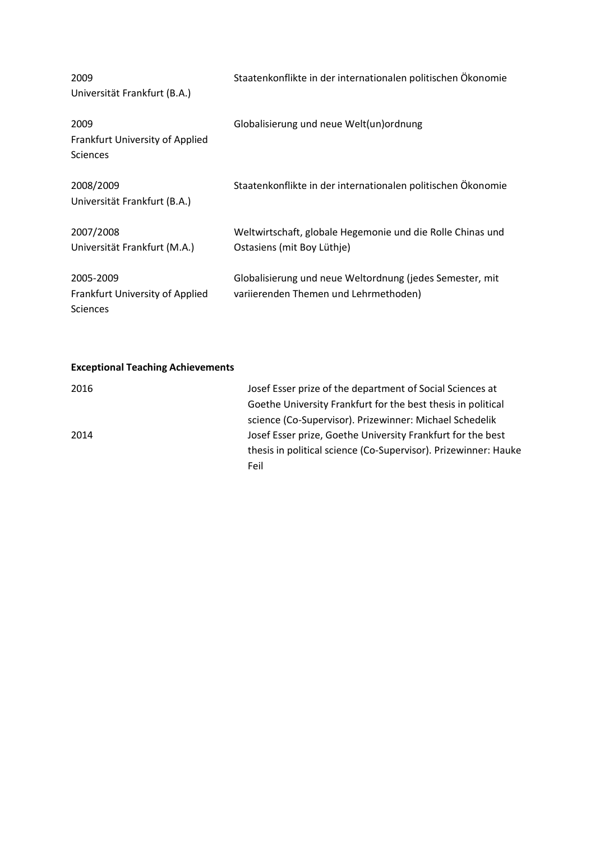| 2009<br>Universität Frankfurt (B.A.)                            | Staatenkonflikte in der internationalen politischen Ökonomie                                      |
|-----------------------------------------------------------------|---------------------------------------------------------------------------------------------------|
| 2009<br>Frankfurt University of Applied<br><b>Sciences</b>      | Globalisierung und neue Welt(un) ordnung                                                          |
| 2008/2009<br>Universität Frankfurt (B.A.)                       | Staatenkonflikte in der internationalen politischen Ökonomie                                      |
| 2007/2008<br>Universität Frankfurt (M.A.)                       | Weltwirtschaft, globale Hegemonie und die Rolle Chinas und<br>Ostasiens (mit Boy Lüthje)          |
| 2005-2009<br>Frankfurt University of Applied<br><b>Sciences</b> | Globalisierung und neue Weltordnung (jedes Semester, mit<br>variierenden Themen und Lehrmethoden) |

## **Exceptional Teaching Achievements**

| 2016 | Josef Esser prize of the department of Social Sciences at       |
|------|-----------------------------------------------------------------|
|      | Goethe University Frankfurt for the best thesis in political    |
|      | science (Co-Supervisor). Prizewinner: Michael Schedelik         |
| 2014 | Josef Esser prize, Goethe University Frankfurt for the best     |
|      | thesis in political science (Co-Supervisor). Prizewinner: Hauke |
|      | Feil                                                            |